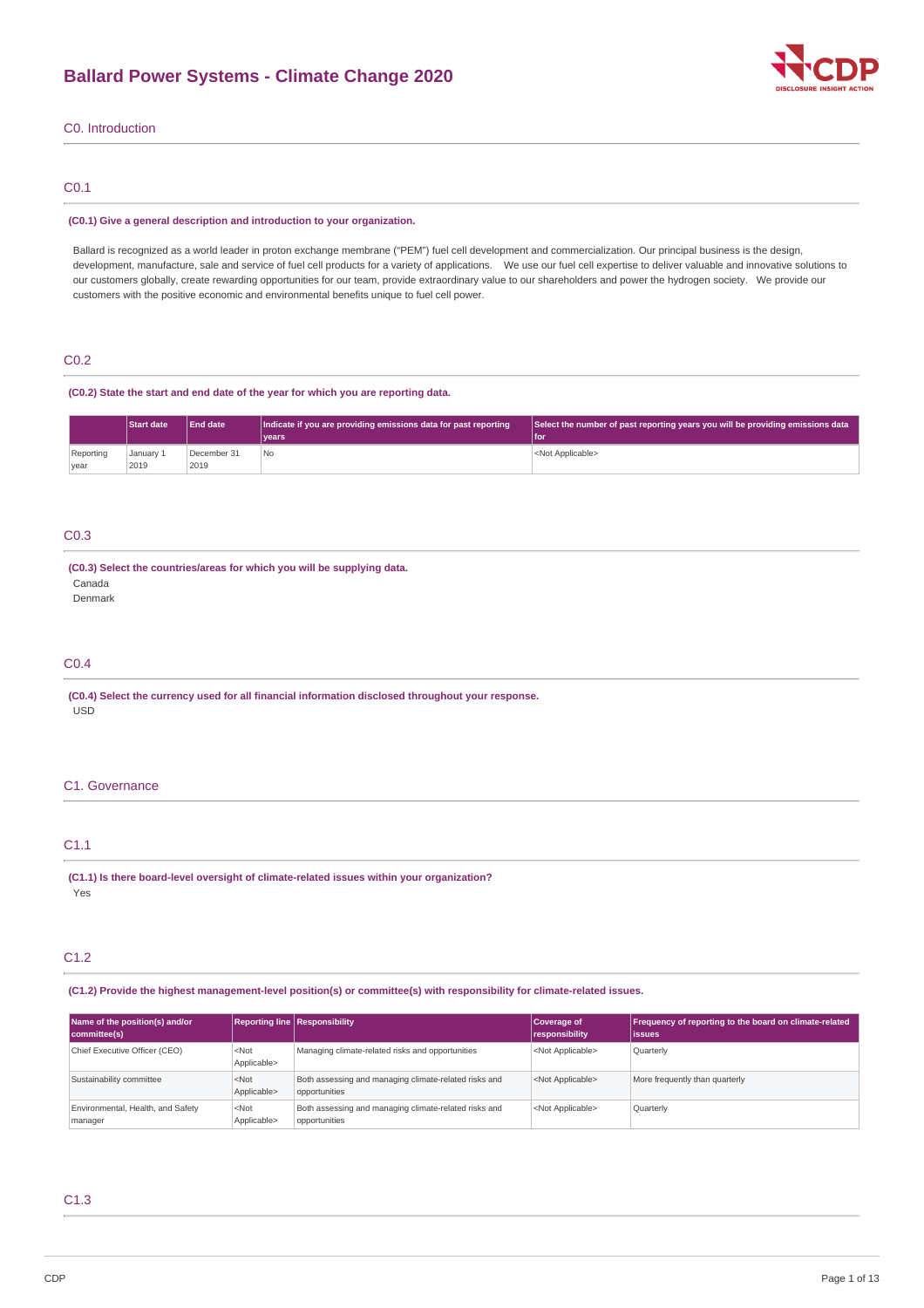

# C0. Introduction

# C0.1

### **(C0.1) Give a general description and introduction to your organization.**

Ballard is recognized as a world leader in proton exchange membrane ("PEM") fuel cell development and commercialization. Our principal business is the design, development, manufacture, sale and service of fuel cell products for a variety of applications. We use our fuel cell expertise to deliver valuable and innovative solutions to our customers globally, create rewarding opportunities for our team, provide extraordinary value to our shareholders and power the hydrogen society. We provide our customers with the positive economic and environmental benefits unique to fuel cell power.

# C0.2

### **(C0.2) State the start and end date of the year for which you are reporting data.**

|                   | <b>Start date</b> | <b>End date</b>     | Indicate if you are providing emissions data for past reporting<br><b>vears</b> | Select the number of past reporting years you will be providing emissions data<br>l for |
|-------------------|-------------------|---------------------|---------------------------------------------------------------------------------|-----------------------------------------------------------------------------------------|
| Reporting<br>year | January 1<br>2019 | December 31<br>2019 | No                                                                              | <not applicable=""></not>                                                               |

## C0.3

# **(C0.3) Select the countries/areas for which you will be supplying data.**

Canada

Denmark

# C0.4

**(C0.4) Select the currency used for all financial information disclosed throughout your response.** USD

### C1. Governance

### C1.1

**(C1.1) Is there board-level oversight of climate-related issues within your organization?** Yes

### C1.2

# **(C1.2) Provide the highest management-level position(s) or committee(s) with responsibility for climate-related issues.**

| Name of the position(s) and/or<br>committee(s) |                        | <b>Reporting line Responsibility</b>                                   | Coverage of<br>responsibility | Frequency of reporting to the board on climate-related<br>lissues |
|------------------------------------------------|------------------------|------------------------------------------------------------------------|-------------------------------|-------------------------------------------------------------------|
| Chief Executive Officer (CEO)                  | $<$ Not<br>Applicable> | Managing climate-related risks and opportunities                       | <not applicable=""></not>     | Quarterly                                                         |
| Sustainability committee                       | $<$ Not<br>Applicable> | Both assessing and managing climate-related risks and<br>opportunities | <not applicable=""></not>     | More frequently than quarterly                                    |
| Environmental, Health, and Safety<br>manager   | $<$ Not<br>Applicable> | Both assessing and managing climate-related risks and<br>opportunities | <not applicable=""></not>     | Quarterly                                                         |

# C1.3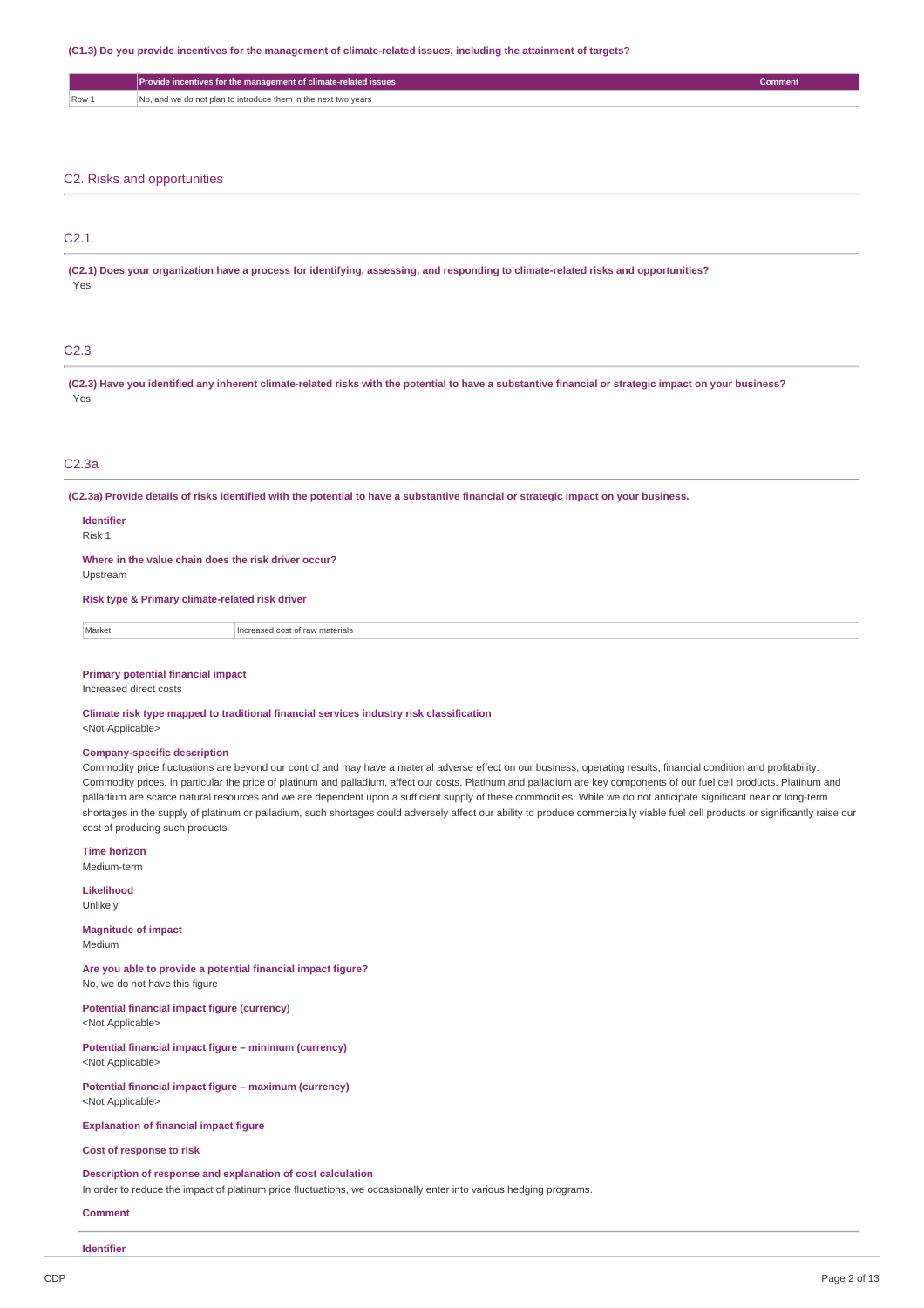#### (C1.3) Do you provide incentives for the management of climate-related issues, including the attainment of targets?

|                             | Provide incentives for the management of climate-related issues | <b>Comment</b> |  |  |
|-----------------------------|-----------------------------------------------------------------|----------------|--|--|
| Row 1                       | No, and we do not plan to introduce them in the next two years  |                |  |  |
|                             |                                                                 |                |  |  |
|                             |                                                                 |                |  |  |
|                             |                                                                 |                |  |  |
|                             |                                                                 |                |  |  |
| C2. Risks and opportunities |                                                                 |                |  |  |

### C2.1

(C2.1) Does your organization have a process for identifying, assessing, and responding to climate-related risks and opportunities? Yes

# C2.3

(C2.3) Have you identified any inherent climate-related risks with the potential to have a substantive financial or strategic impact on your business? Yes

### C2.3a

(C2.3a) Provide details of risks identified with the potential to have a substantive financial or strategic impact on your business.

# **Identifier**

Risk 1

**Where in the value chain does the risk driver occur?**

Upstream

**Risk type & Primary climate-related risk driver**

Market **Increased cost of raw materials** 

# **Primary potential financial impact**

Increased direct costs

**Climate risk type mapped to traditional financial services industry risk classification** <Not Applicable>

### **Company-specific description**

Commodity price fluctuations are beyond our control and may have a material adverse effect on our business, operating results, financial condition and profitability. Commodity prices, in particular the price of platinum and palladium, affect our costs. Platinum and palladium are key components of our fuel cell products. Platinum and palladium are scarce natural resources and we are dependent upon a sufficient supply of these commodities. While we do not anticipate significant near or long-term shortages in the supply of platinum or palladium, such shortages could adversely affect our ability to produce commercially viable fuel cell products or significantly raise our cost of producing such products.

**Time horizon** Medium-term

**Likelihood**

Unlikely

**Magnitude of impact** Medium

**Are you able to provide a potential financial impact figure?** No, we do not have this figure

**Potential financial impact figure (currency)** <Not Applicable>

**Potential financial impact figure – minimum (currency)** <Not Applicable>

**Potential financial impact figure – maximum (currency)** <Not Applicable>

**Explanation of financial impact figure**

**Cost of response to risk**

### **Description of response and explanation of cost calculation**

In order to reduce the impact of platinum price fluctuations, we occasionally enter into various hedging programs.

**Comment**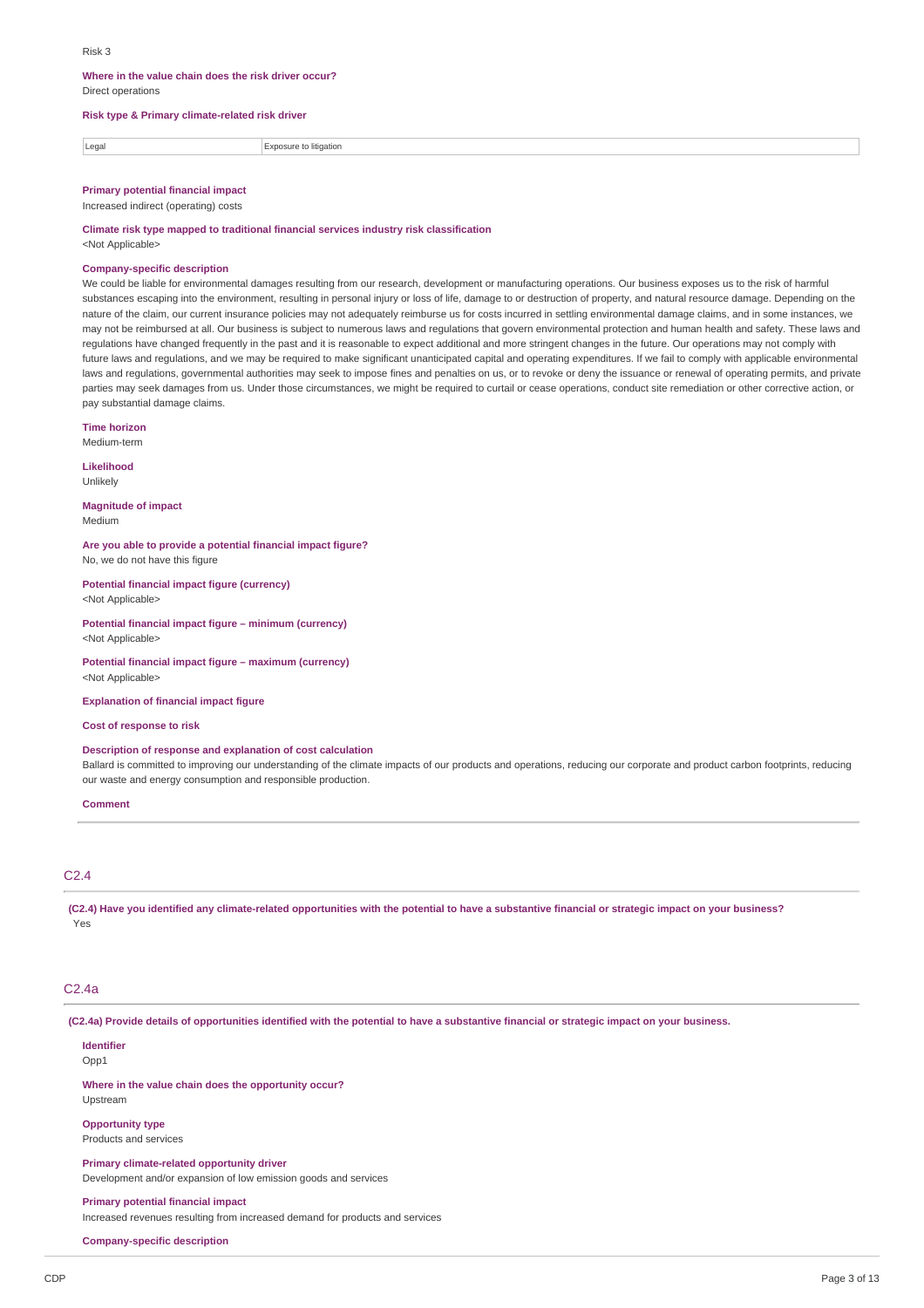### **Where in the value chain does the risk driver occur?** Direct operations

### **Risk type & Primary climate-related risk driver**

Legal **Exposure to litigation** 

### **Primary potential financial impact**

Increased indirect (operating) costs

**Climate risk type mapped to traditional financial services industry risk classification** <Not Applicable>

#### **Company-specific description**

We could be liable for environmental damages resulting from our research, development or manufacturing operations. Our business exposes us to the risk of harmful substances escaping into the environment, resulting in personal injury or loss of life, damage to or destruction of property, and natural resource damage. Depending on the nature of the claim, our current insurance policies may not adequately reimburse us for costs incurred in settling environmental damage claims, and in some instances, we may not be reimbursed at all. Our business is subject to numerous laws and regulations that govern environmental protection and human health and safety. These laws and regulations have changed frequently in the past and it is reasonable to expect additional and more stringent changes in the future. Our operations may not comply with future laws and regulations, and we may be required to make significant unanticipated capital and operating expenditures. If we fail to comply with applicable environmental laws and regulations, governmental authorities may seek to impose fines and penalties on us, or to revoke or deny the issuance or renewal of operating permits, and private parties may seek damages from us. Under those circumstances, we might be required to curtail or cease operations, conduct site remediation or other corrective action, or pay substantial damage claims.

#### **Time horizon**

Medium-term

**Likelihood** Unlikely

**Magnitude of impact** Medium

**Are you able to provide a potential financial impact figure?** No, we do not have this figure

**Potential financial impact figure (currency)** <Not Applicable>

**Potential financial impact figure – minimum (currency)** <Not Applicable>

**Potential financial impact figure – maximum (currency)** <Not Applicable>

**Explanation of financial impact figure**

### **Cost of response to risk**

### **Description of response and explanation of cost calculation**

Ballard is committed to improving our understanding of the climate impacts of our products and operations, reducing our corporate and product carbon footprints, reducing our waste and energy consumption and responsible production.

### **Comment**

### C2.4

(C2.4) Have you identified any climate-related opportunities with the potential to have a substantive financial or strategic impact on your business? Yes

### C2.4a

(C2.4a) Provide details of opportunities identified with the potential to have a substantive financial or strategic impact on your business.

**Identifier**

Opp1

**Where in the value chain does the opportunity occur?** Upstream

# **Opportunity type**

Products and services

**Primary climate-related opportunity driver**

Development and/or expansion of low emission goods and services

**Primary potential financial impact**

Increased revenues resulting from increased demand for products and services

#### **Company-specific description**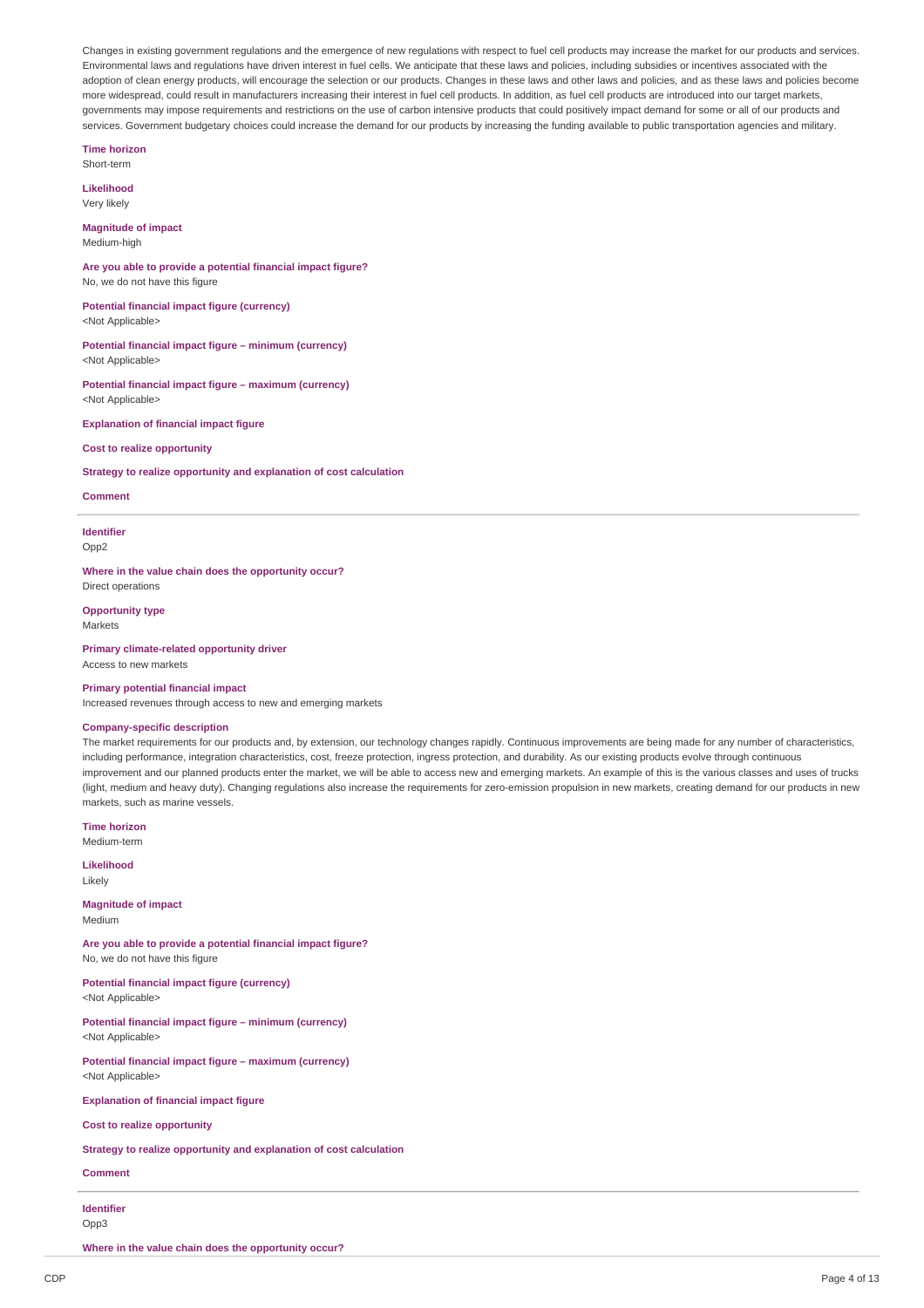Changes in existing government regulations and the emergence of new regulations with respect to fuel cell products may increase the market for our products and services. Environmental laws and regulations have driven interest in fuel cells. We anticipate that these laws and policies, including subsidies or incentives associated with the adoption of clean energy products, will encourage the selection or our products. Changes in these laws and other laws and policies, and as these laws and policies become more widespread, could result in manufacturers increasing their interest in fuel cell products. In addition, as fuel cell products are introduced into our target markets, governments may impose requirements and restrictions on the use of carbon intensive products that could positively impact demand for some or all of our products and services. Government budgetary choices could increase the demand for our products by increasing the funding available to public transportation agencies and military.

**Time horizon**

Short-term

**Likelihood** Very likely

### **Magnitude of impact** Medium-high

**Are you able to provide a potential financial impact figure?** No, we do not have this figure

**Potential financial impact figure (currency)** <Not Applicable>

**Potential financial impact figure – minimum (currency)** <Not Applicable>

**Potential financial impact figure – maximum (currency)** <Not Applicable>

**Explanation of financial impact figure**

**Cost to realize opportunity**

**Strategy to realize opportunity and explanation of cost calculation**

### **Comment**

**Identifier** Opp2

**Where in the value chain does the opportunity occur?** Direct operations

**Opportunity type** Markets

**Primary climate-related opportunity driver** Access to new markets

### **Primary potential financial impact**

Increased revenues through access to new and emerging markets

### **Company-specific description**

The market requirements for our products and, by extension, our technology changes rapidly. Continuous improvements are being made for any number of characteristics, including performance, integration characteristics, cost, freeze protection, ingress protection, and durability. As our existing products evolve through continuous improvement and our planned products enter the market, we will be able to access new and emerging markets. An example of this is the various classes and uses of trucks (light, medium and heavy duty). Changing regulations also increase the requirements for zero-emission propulsion in new markets, creating demand for our products in new markets, such as marine vessels.

**Time horizon** Medium-term

**Likelihood**

Likely

#### **Magnitude of impact** Medium

**Are you able to provide a potential financial impact figure?** No, we do not have this figure

**Potential financial impact figure (currency)** <Not Applicable>

**Potential financial impact figure – minimum (currency)** <Not Applicable>

**Potential financial impact figure – maximum (currency)** <Not Applicable>

**Explanation of financial impact figure**

**Cost to realize opportunity**

**Strategy to realize opportunity and explanation of cost calculation**

### **Comment**

**Identifier** Opp3

**Where in the value chain does the opportunity occur?**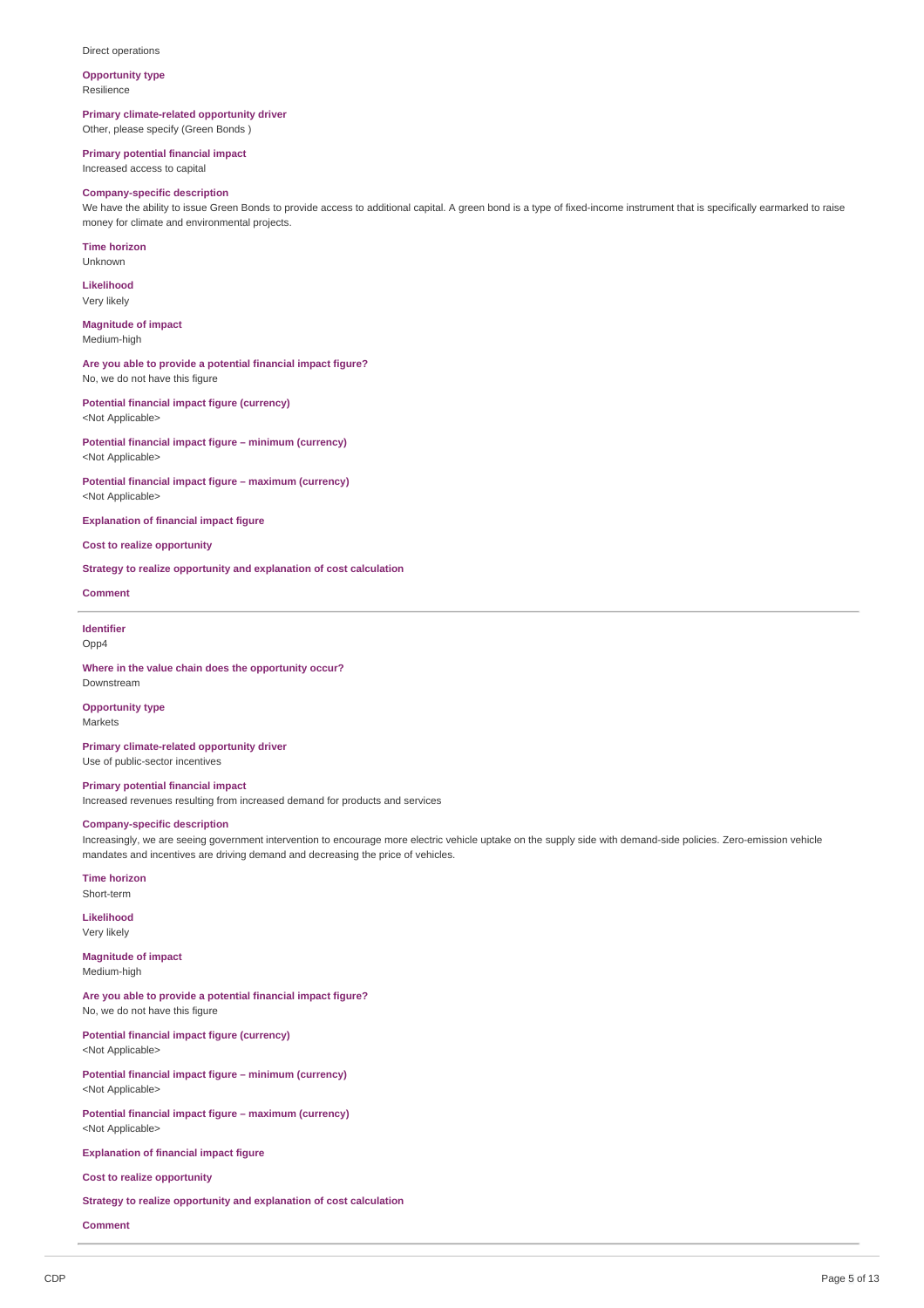#### Direct operations

**Opportunity type**

Resilience

**Primary climate-related opportunity driver** Other, please specify (Green Bonds )

**Primary potential financial impact**

Increased access to capital

### **Company-specific description**

We have the ability to issue Green Bonds to provide access to additional capital. A green bond is a type of fixed-income instrument that is specifically earmarked to raise money for climate and environmental projects.

**Time horizon** Unknown

**Likelihood** Very likely

**Magnitude of impact** Medium-high

**Are you able to provide a potential financial impact figure?** No, we do not have this figure

**Potential financial impact figure (currency)** <Not Applicable>

**Potential financial impact figure – minimum (currency)** <Not Applicable>

**Potential financial impact figure – maximum (currency)** <Not Applicable>

**Explanation of financial impact figure**

**Cost to realize opportunity**

**Strategy to realize opportunity and explanation of cost calculation**

**Comment**

**Identifier** Opp4

**Where in the value chain does the opportunity occur?** Downstream

**Opportunity type** Markets

**Primary climate-related opportunity driver** Use of public-sector incentives

**Primary potential financial impact**

Increased revenues resulting from increased demand for products and services

### **Company-specific description**

Increasingly, we are seeing government intervention to encourage more electric vehicle uptake on the supply side with demand-side policies. Zero-emission vehicle mandates and incentives are driving demand and decreasing the price of vehicles.

**Time horizon** Short-term

**Likelihood** Very likely

**Magnitude of impact** Medium-high

**Are you able to provide a potential financial impact figure?** No, we do not have this figure

**Potential financial impact figure (currency)** <Not Applicable>

**Potential financial impact figure – minimum (currency)** <Not Applicable>

**Potential financial impact figure – maximum (currency)** <Not Applicable>

**Explanation of financial impact figure**

**Cost to realize opportunity**

**Strategy to realize opportunity and explanation of cost calculation**

**Comment**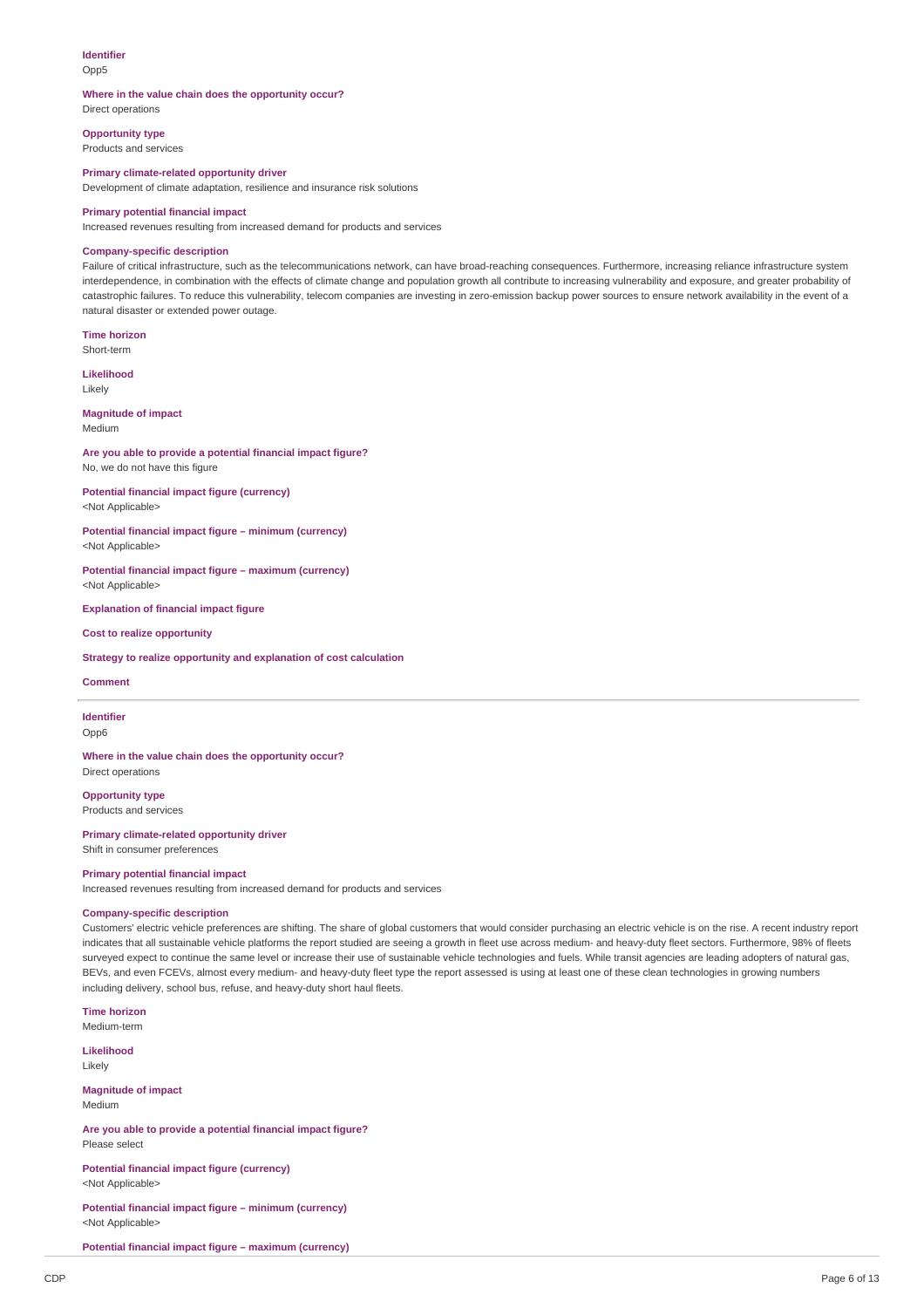# **Identifier**

Opp<sub>5</sub>

### **Where in the value chain does the opportunity occur?**

Direct operations

**Opportunity type** Products and services

# **Primary climate-related opportunity driver**

Development of climate adaptation, resilience and insurance risk solutions

### **Primary potential financial impact**

Increased revenues resulting from increased demand for products and services

#### **Company-specific description**

Failure of critical infrastructure, such as the telecommunications network, can have broad-reaching consequences. Furthermore, increasing reliance infrastructure system interdependence, in combination with the effects of climate change and population growth all contribute to increasing vulnerability and exposure, and greater probability of catastrophic failures. To reduce this vulnerability, telecom companies are investing in zero-emission backup power sources to ensure network availability in the event of a natural disaster or extended power outage.

**Time horizon** Short-term

**Likelihood**

Likely

#### **Magnitude of impact** Medium

**Are you able to provide a potential financial impact figure?** No, we do not have this figure

**Potential financial impact figure (currency)** <Not Applicable>

**Potential financial impact figure – minimum (currency)** <Not Applicable>

**Potential financial impact figure – maximum (currency)** <Not Applicable>

**Explanation of financial impact figure**

**Cost to realize opportunity**

**Strategy to realize opportunity and explanation of cost calculation**

#### **Comment**

**Identifier** Opp6

**Where in the value chain does the opportunity occur?** Direct operations

**Opportunity type** Products and services

**Primary climate-related opportunity driver**

Shift in consumer preferences

### **Primary potential financial impact**

Increased revenues resulting from increased demand for products and services

### **Company-specific description**

Customers' electric vehicle preferences are shifting. The share of global customers that would consider purchasing an electric vehicle is on the rise. A recent industry report indicates that all sustainable vehicle platforms the report studied are seeing a growth in fleet use across medium- and heavy-duty fleet sectors. Furthermore, 98% of fleets surveyed expect to continue the same level or increase their use of sustainable vehicle technologies and fuels. While transit agencies are leading adopters of natural gas, BEVs, and even FCEVs, almost every medium- and heavy-duty fleet type the report assessed is using at least one of these clean technologies in growing numbers including delivery, school bus, refuse, and heavy-duty short haul fleets.

**Time horizon** Medium-term

**Likelihood** Likely

**Magnitude of impact** Medium

**Are you able to provide a potential financial impact figure?** Please select

**Potential financial impact figure (currency)** <Not Applicable>

**Potential financial impact figure – minimum (currency)** <Not Applicable>

**Potential financial impact figure – maximum (currency)**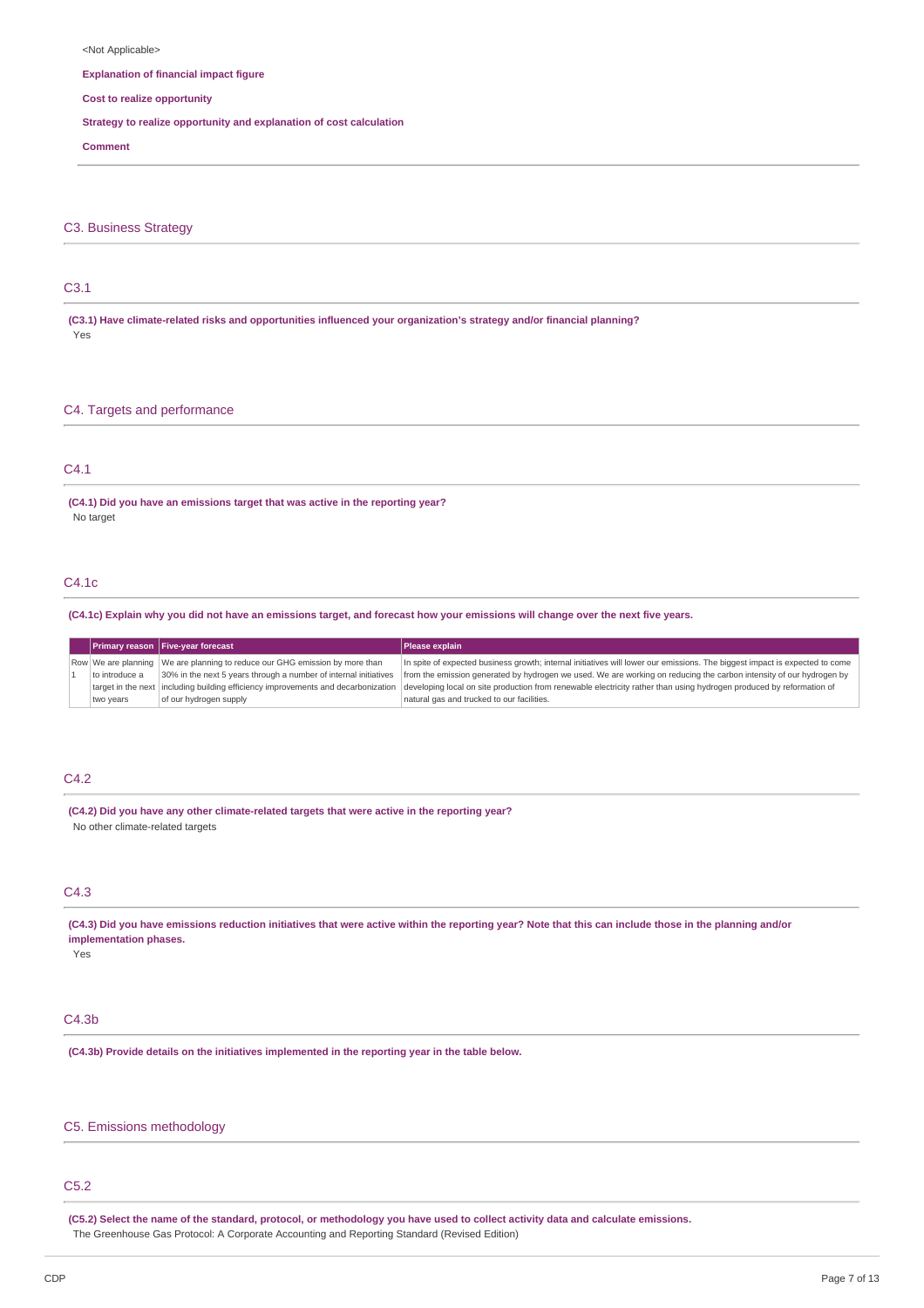#### <Not Applicable>

**Explanation of financial impact figure**

**Cost to realize opportunity**

**Strategy to realize opportunity and explanation of cost calculation**

**Comment**

C3. Business Strategy

## C3.1

**(C3.1) Have climate-related risks and opportunities influenced your organization's strategy and/or financial planning?** Yes

## C4. Targets and performance

# C4.1

**(C4.1) Did you have an emissions target that was active in the reporting year?** No target

# C4.1c

(C4.1c) Explain why you did not have an emissions target, and forecast how your emissions will change over the next five years.

|                | $\vert$ Primary reason $\vert$ Five-year forecast                                   | Please explain                                                                                                              |
|----------------|-------------------------------------------------------------------------------------|-----------------------------------------------------------------------------------------------------------------------------|
|                | Row We are planning We are planning to reduce our GHG emission by more than         | In spite of expected business growth; internal initiatives will lower our emissions. The biggest impact is expected to come |
| to introduce a | 30% in the next 5 years through a number of internal initiatives                    | from the emission generated by hydrogen we used. We are working on reducing the carbon intensity of our hydrogen by         |
|                | target in the next   including building efficiency improvements and decarbonization | developing local on site production from renewable electricity rather than using hydrogen produced by reformation of        |
| two years      | of our hydrogen supply                                                              | natural gas and trucked to our facilities.                                                                                  |

# C4.2

**(C4.2) Did you have any other climate-related targets that were active in the reporting year?** No other climate-related targets

# C4.3

(C4.3) Did you have emissions reduction initiatives that were active within the reporting year? Note that this can include those in the planning and/or **implementation phases.**

Yes

# C4.3b

**(C4.3b) Provide details on the initiatives implemented in the reporting year in the table below.**

### C5. Emissions methodology

# C5.2

(C5.2) Select the name of the standard, protocol, or methodology you have used to collect activity data and calculate emissions. The Greenhouse Gas Protocol: A Corporate Accounting and Reporting Standard (Revised Edition)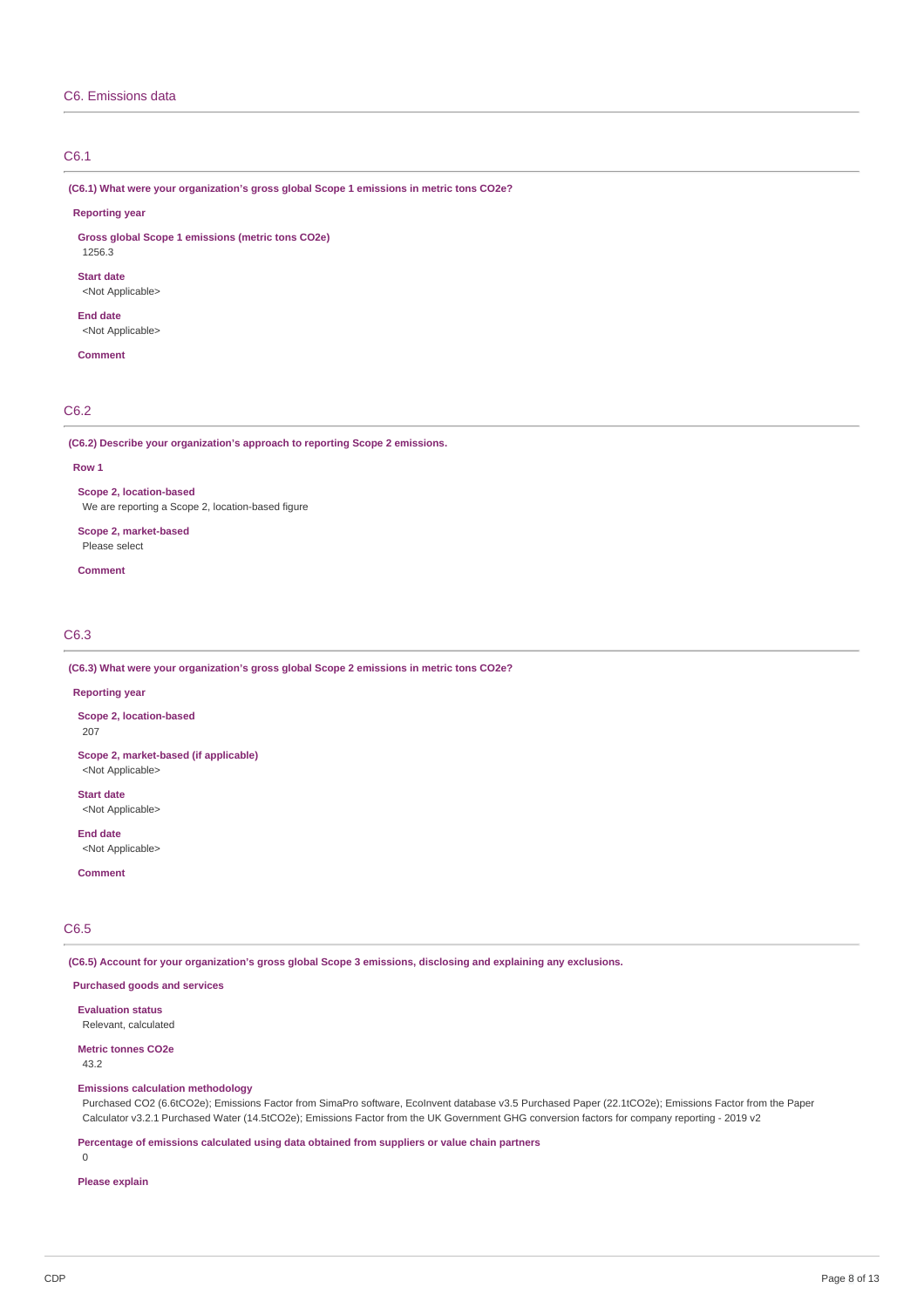# C6. Emissions data

### C6.1

**(C6.1) What were your organization's gross global Scope 1 emissions in metric tons CO2e?**

### **Reporting year**

**Gross global Scope 1 emissions (metric tons CO2e)**

1256.3

**Start date** <Not Applicable>

**End date** <Not Applicable>

**Comment**

# C6.2

**(C6.2) Describe your organization's approach to reporting Scope 2 emissions.**

#### **Row 1**

**Scope 2, location-based** We are reporting a Scope 2, location-based figure

# **Scope 2, market-based**

Please select

**Comment**

# C6.3

**(C6.3) What were your organization's gross global Scope 2 emissions in metric tons CO2e?**

### **Reporting year**

**Scope 2, location-based** 207

**Scope 2, market-based (if applicable)** <Not Applicable>

**Start date**

<Not Applicable>

**End date** <Not Applicable>

**Comment**

# C6.5

**(C6.5) Account for your organization's gross global Scope 3 emissions, disclosing and explaining any exclusions.**

**Purchased goods and services**

**Evaluation status** Relevant, calculated

**Metric tonnes CO2e**

43.2

### **Emissions calculation methodology**

Purchased CO2 (6.6tCO2e); Emissions Factor from SimaPro software, EcoInvent database v3.5 Purchased Paper (22.1tCO2e); Emissions Factor from the Paper Calculator v3.2.1 Purchased Water (14.5tCO2e); Emissions Factor from the UK Government GHG conversion factors for company reporting - 2019 v2

**Percentage of emissions calculated using data obtained from suppliers or value chain partners**

0

**Please explain**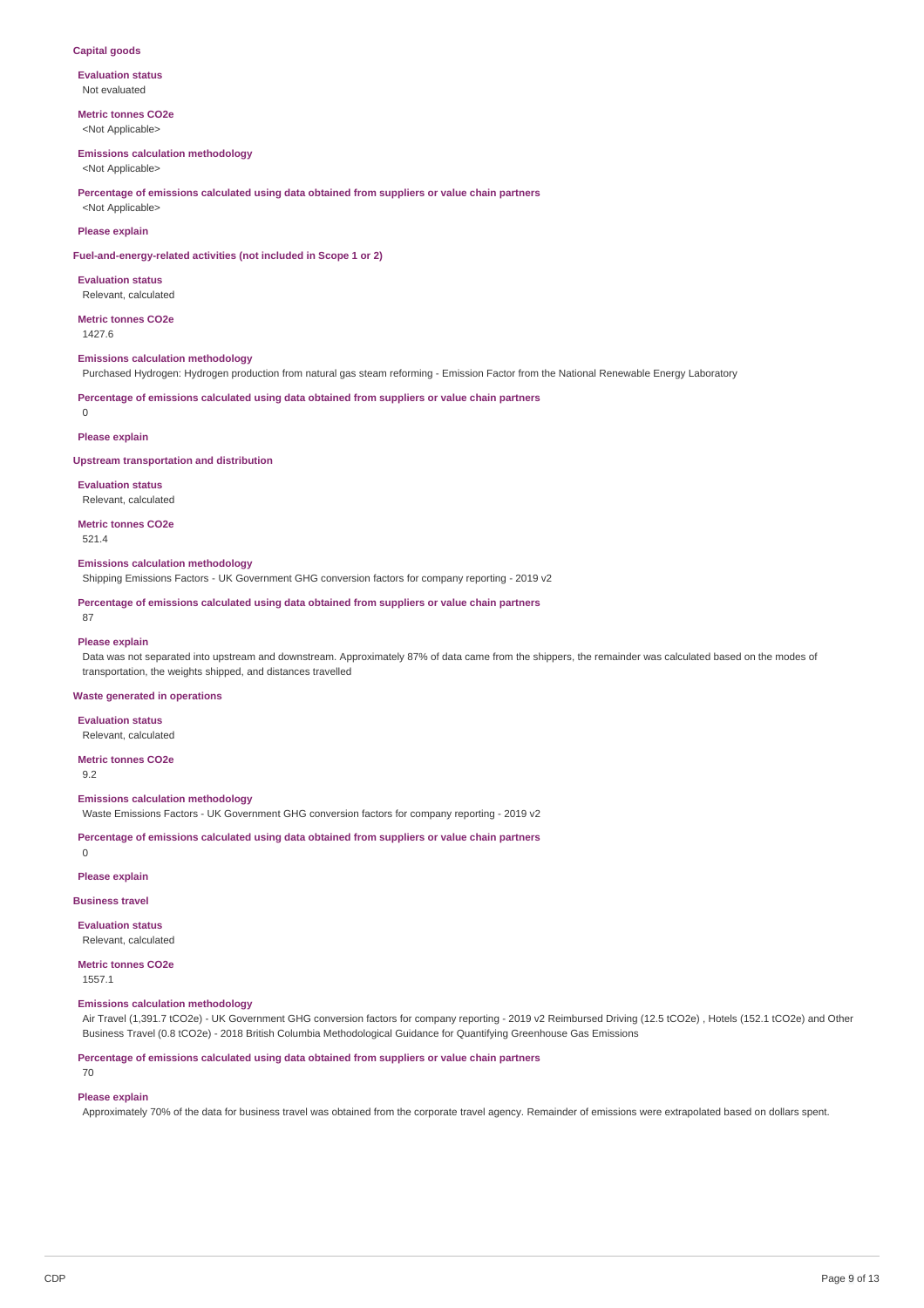### **Capital goods**

**Evaluation status** Not evaluated

**Metric tonnes CO2e** <Not Applicable>

#### **Emissions calculation methodology**

<Not Applicable>

**Percentage of emissions calculated using data obtained from suppliers or value chain partners**

# <Not Applicable>

# **Please explain**

**Fuel-and-energy-related activities (not included in Scope 1 or 2)**

**Evaluation status** Relevant, calculated

**Metric tonnes CO2e** 1427.6

### **Emissions calculation methodology**

Purchased Hydrogen: Hydrogen production from natural gas steam reforming - Emission Factor from the National Renewable Energy Laboratory

**Percentage of emissions calculated using data obtained from suppliers or value chain partners**

 $\Omega$ 

### **Please explain**

**Upstream transportation and distribution**

**Evaluation status**

Relevant, calculated

**Metric tonnes CO2e** 521.4

#### **Emissions calculation methodology**

Shipping Emissions Factors - UK Government GHG conversion factors for company reporting - 2019 v2

**Percentage of emissions calculated using data obtained from suppliers or value chain partners**

### **Please explain**

87

Data was not separated into upstream and downstream. Approximately 87% of data came from the shippers, the remainder was calculated based on the modes of transportation, the weights shipped, and distances travelled

#### **Waste generated in operations**

**Evaluation status** Relevant, calculated

**Metric tonnes CO2e** 9<sup>2</sup>

**Emissions calculation methodology**

Waste Emissions Factors - UK Government GHG conversion factors for company reporting - 2019 v2

**Percentage of emissions calculated using data obtained from suppliers or value chain partners**

 $\Omega$ 

**Please explain**

**Business travel**

**Evaluation status** Relevant, calculated

**Metric tonnes CO2e** 1557.1

### **Emissions calculation methodology**

Air Travel (1,391.7 tCO2e) - UK Government GHG conversion factors for company reporting - 2019 v2 Reimbursed Driving (12.5 tCO2e) , Hotels (152.1 tCO2e) and Other Business Travel (0.8 tCO2e) - 2018 British Columbia Methodological Guidance for Quantifying Greenhouse Gas Emissions

### **Percentage of emissions calculated using data obtained from suppliers or value chain partners**

70

# **Please explain**

Approximately 70% of the data for business travel was obtained from the corporate travel agency. Remainder of emissions were extrapolated based on dollars spent.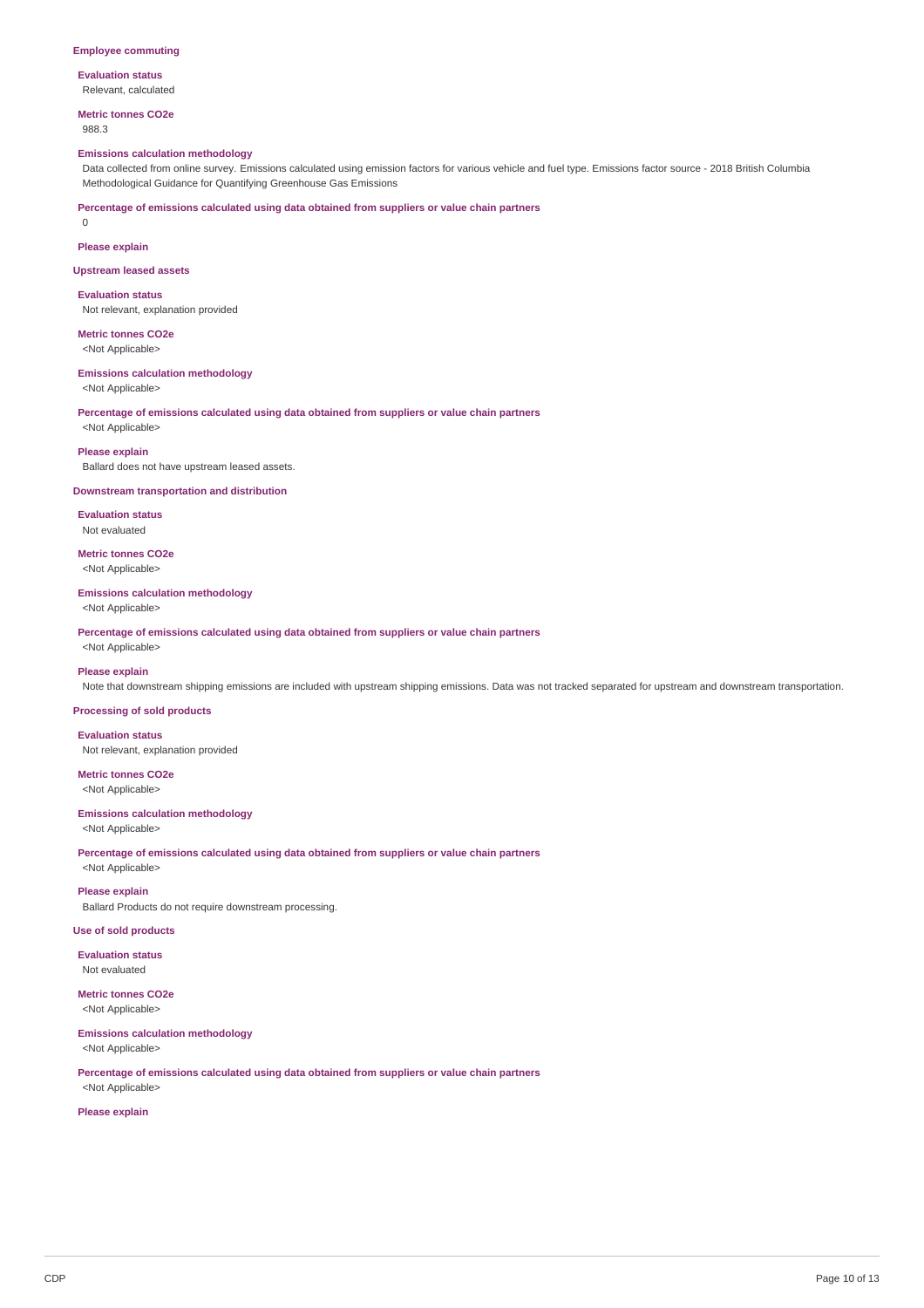#### **Employee commuting**

#### **Evaluation status** Relevant, calculated

**Metric tonnes CO2e**

988.3

0

### **Emissions calculation methodology**

Data collected from online survey. Emissions calculated using emission factors for various vehicle and fuel type. Emissions factor source - 2018 British Columbia Methodological Guidance for Quantifying Greenhouse Gas Emissions

**Percentage of emissions calculated using data obtained from suppliers or value chain partners**

# **Please explain**

**Upstream leased assets**

**Evaluation status** Not relevant, explanation provided

# **Metric tonnes CO2e**

<Not Applicable>

#### **Emissions calculation methodology**

<Not Applicable>

**Percentage of emissions calculated using data obtained from suppliers or value chain partners**

<Not Applicable> **Please explain**

Ballard does not have upstream leased assets.

#### **Downstream transportation and distribution**

**Evaluation status** Not evaluated

**Metric tonnes CO2e** <Not Applicable>

#### **Emissions calculation methodology**

<Not Applicable>

**Percentage of emissions calculated using data obtained from suppliers or value chain partners**

# <Not Applicable> **Please explain**

Note that downstream shipping emissions are included with upstream shipping emissions. Data was not tracked separated for upstream and downstream transportation.

### **Processing of sold products**

**Evaluation status**

Not relevant, explanation provided

**Metric tonnes CO2e** <Not Applicable>

### **Emissions calculation methodology**

<Not Applicable>

**Percentage of emissions calculated using data obtained from suppliers or value chain partners** <Not Applicable>

**Please explain** Ballard Products do not require downstream processing.

#### **Use of sold products**

**Evaluation status** Not evaluated

# **Metric tonnes CO2e**

<Not Applicable>

**Emissions calculation methodology**

<Not Applicable>

**Percentage of emissions calculated using data obtained from suppliers or value chain partners**

<Not Applicable> **Please explain**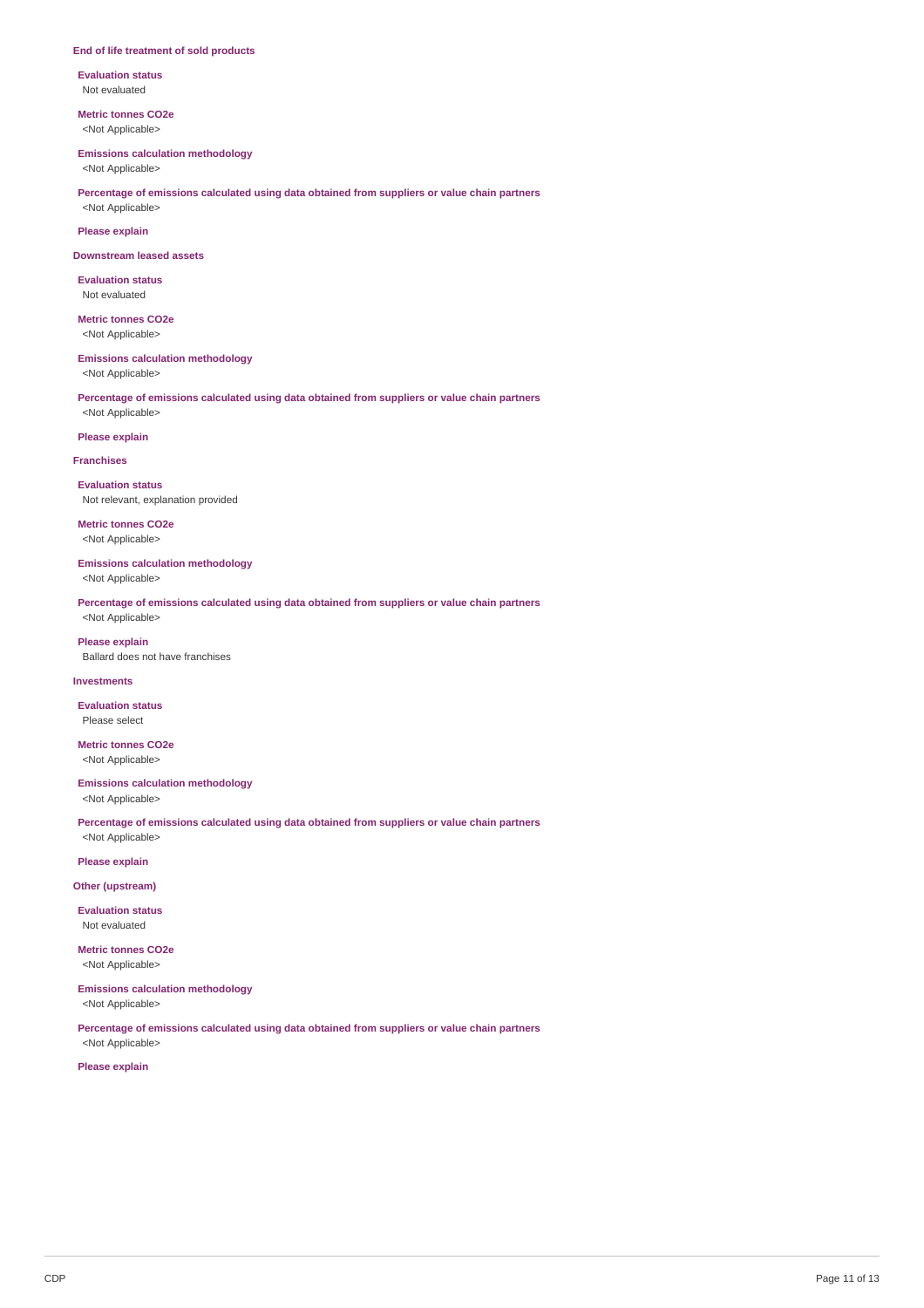### **End of life treatment of sold products**

**Evaluation status** Not evaluated

**Metric tonnes CO2e** <Not Applicable>

#### **Emissions calculation methodology**

<Not Applicable>

**Percentage of emissions calculated using data obtained from suppliers or value chain partners** <Not Applicable>

### **Please explain**

#### **Downstream leased assets**

**Evaluation status** Not evaluated

**Metric tonnes CO2e** <Not Applicable>

# **Emissions calculation methodology**

<Not Applicable>

**Percentage of emissions calculated using data obtained from suppliers or value chain partners** <Not Applicable>

### **Please explain**

#### **Franchises**

**Evaluation status** Not relevant, explanation provided

**Metric tonnes CO2e** <Not Applicable>

### **Emissions calculation methodology**

<Not Applicable>

**Percentage of emissions calculated using data obtained from suppliers or value chain partners** <Not Applicable>

# **Please explain**

Ballard does not have franchises

### **Investments**

**Evaluation status** Please select

**Metric tonnes CO2e** <Not Applicable>

### **Emissions calculation methodology**

<Not Applicable>

**Percentage of emissions calculated using data obtained from suppliers or value chain partners** <Not Applicable>

### **Please explain**

**Other (upstream)**

**Evaluation status** Not evaluated

**Metric tonnes CO2e** <Not Applicable>

#### **Emissions calculation methodology** <Not Applicable>

**Percentage of emissions calculated using data obtained from suppliers or value chain partners** <Not Applicable>

# **Please explain**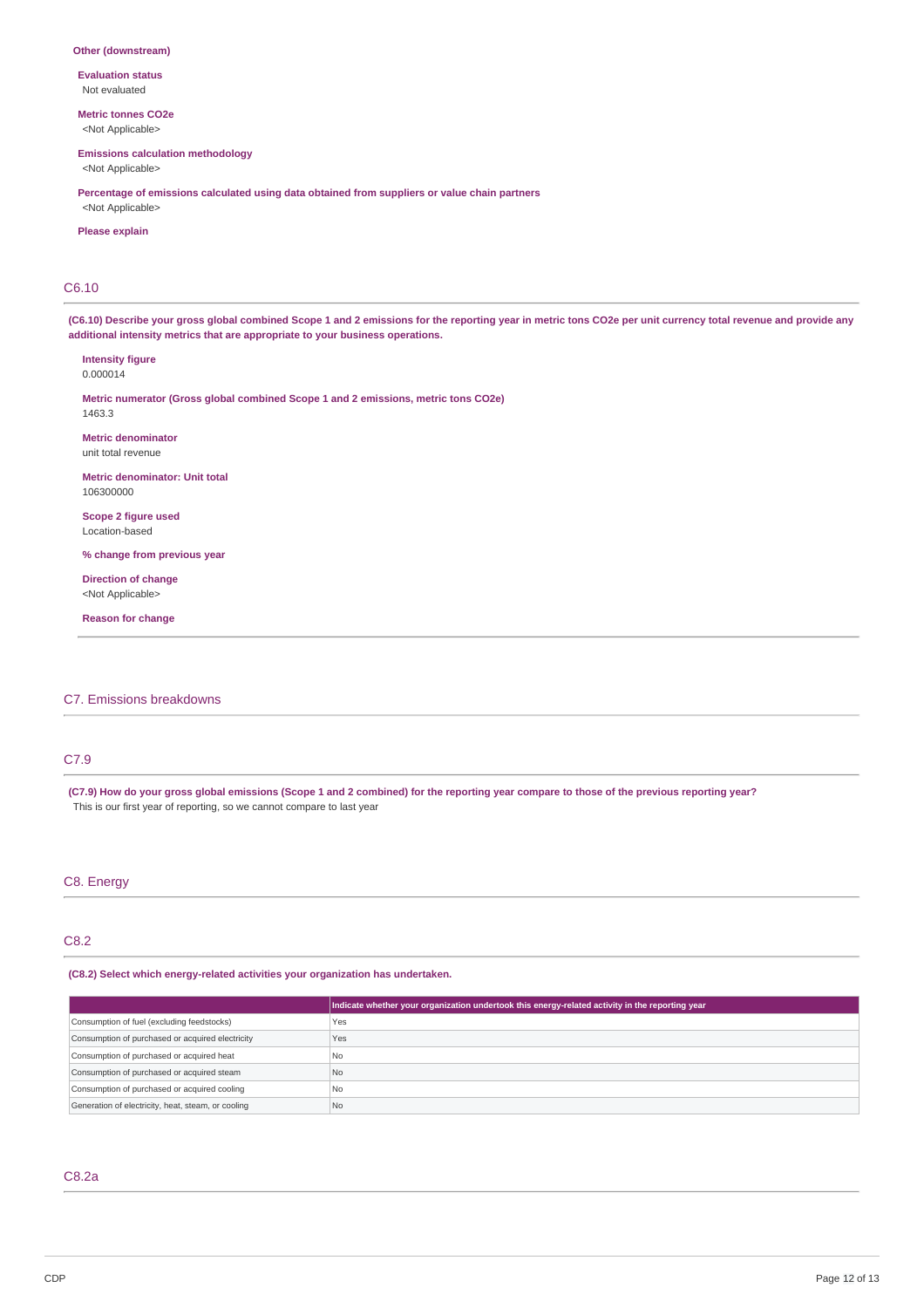### **Other (downstream)**

**Evaluation status** Not evaluated

**Metric tonnes CO2e** <Not Applicable>

**Emissions calculation methodology**

<Not Applicable>

**Percentage of emissions calculated using data obtained from suppliers or value chain partners** <Not Applicable>

**Please explain**

### C6.10

(C6.10) Describe your gross global combined Scope 1 and 2 emissions for the reporting year in metric tons CO2e per unit currency total revenue and provide any **additional intensity metrics that are appropriate to your business operations.**

**Intensity figure**

0.000014

**Metric numerator (Gross global combined Scope 1 and 2 emissions, metric tons CO2e)** 1463.3

**Metric denominator** unit total revenue

**Metric denominator: Unit total** 106300000

**Scope 2 figure used** Location-based

**% change from previous year**

**Direction of change** <Not Applicable>

**Reason for change**

### C7. Emissions breakdowns

# C7.9

(C7.9) How do your gross global emissions (Scope 1 and 2 combined) for the reporting year compare to those of the previous reporting year? This is our first year of reporting, so we cannot compare to last year

# C8. Energy

# C8.2

**(C8.2) Select which energy-related activities your organization has undertaken.**

|                                                    | Indicate whether your organization undertook this energy-related activity in the reporting year |  |
|----------------------------------------------------|-------------------------------------------------------------------------------------------------|--|
| Consumption of fuel (excluding feedstocks)         | Yes                                                                                             |  |
| Consumption of purchased or acquired electricity   | Yes                                                                                             |  |
| Consumption of purchased or acquired heat          | No                                                                                              |  |
| Consumption of purchased or acquired steam         | N <sub>o</sub>                                                                                  |  |
| Consumption of purchased or acquired cooling       | N <sub>0</sub>                                                                                  |  |
| Generation of electricity, heat, steam, or cooling | No.                                                                                             |  |

# C8.2a